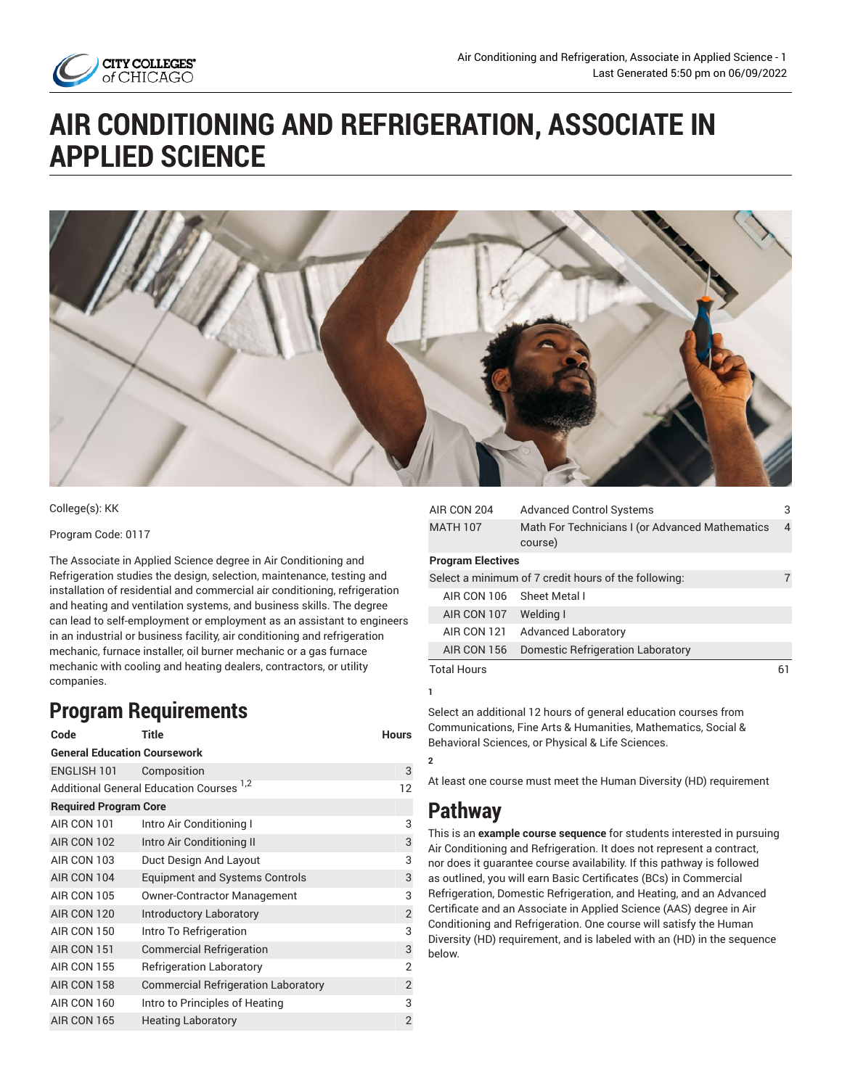

# **AIR CONDITIONING AND REFRIGERATION, ASSOCIATE IN APPLIED SCIENCE**



College(s): KK

Program Code: 0117

The Associate in Applied Science degree in Air Conditioning and Refrigeration studies the design, selection, maintenance, testing and installation of residential and commercial air conditioning, refrigeration and heating and ventilation systems, and business skills. The degree can lead to self-employment or employment as an assistant to engineers in an industrial or business facility, air conditioning and refrigeration mechanic, furnace installer, oil burner mechanic or a gas furnace mechanic with cooling and heating dealers, contractors, or utility companies.

# **Program Requirements**

| Code                                | <b>Title</b>                                        | <b>Hours</b>   |  |
|-------------------------------------|-----------------------------------------------------|----------------|--|
| <b>General Education Coursework</b> |                                                     |                |  |
| <b>ENGLISH 101</b>                  | Composition                                         | 3              |  |
|                                     | Additional General Education Courses <sup>1,2</sup> | 12             |  |
| <b>Required Program Core</b>        |                                                     |                |  |
| AIR CON 101                         | Intro Air Conditioning I                            | 3              |  |
| AIR CON 102                         | Intro Air Conditioning II                           | 3              |  |
| AIR CON 103                         | Duct Design And Layout                              | 3              |  |
| AIR CON 104                         | <b>Equipment and Systems Controls</b>               | 3              |  |
| AIR CON 105                         | <b>Owner-Contractor Management</b>                  | 3              |  |
| AIR CON 120                         | <b>Introductory Laboratory</b>                      | $\overline{2}$ |  |
| AIR CON 150                         | Intro To Refrigeration                              | 3              |  |
| AIR CON 151                         | <b>Commercial Refrigeration</b>                     | 3              |  |
| AIR CON 155                         | <b>Refrigeration Laboratory</b>                     | $\overline{2}$ |  |
| AIR CON 158                         | <b>Commercial Refrigeration Laboratory</b>          | $\overline{2}$ |  |
| AIR CON 160                         | Intro to Principles of Heating                      | 3              |  |
| AIR CON 165                         | <b>Heating Laboratory</b>                           | $\overline{2}$ |  |

| AIR CON 204              | <b>Advanced Control Systems</b>                            | 3  |
|--------------------------|------------------------------------------------------------|----|
| <b>MATH 107</b>          | Math For Technicians I (or Advanced Mathematics<br>course) |    |
| <b>Program Electives</b> |                                                            |    |
|                          | Select a minimum of 7 credit hours of the following:       | 7  |
| AIR CON 106              | Sheet Metal I                                              |    |
| AIR CON 107              | Welding I                                                  |    |
| AIR CON 121              | <b>Advanced Laboratory</b>                                 |    |
| AIR CON 156              | <b>Domestic Refrigeration Laboratory</b>                   |    |
| <b>Total Hours</b>       |                                                            | 61 |

Select an additional 12 hours of general education courses from Communications, Fine Arts & Humanities, Mathematics, Social & Behavioral Sciences, or Physical & Life Sciences.

At least one course must meet the Human Diversity (HD) requirement

# **Pathway**

**1**

**2**

This is an **example course sequence** for students interested in pursuing Air Conditioning and Refrigeration. It does not represent a contract, nor does it guarantee course availability. If this pathway is followed as outlined, you will earn Basic Certificates (BCs) in Commercial Refrigeration, Domestic Refrigeration, and Heating, and an Advanced Certificate and an Associate in Applied Science (AAS) degree in Air Conditioning and Refrigeration. One course will satisfy the Human Diversity (HD) requirement, and is labeled with an (HD) in the sequence below.